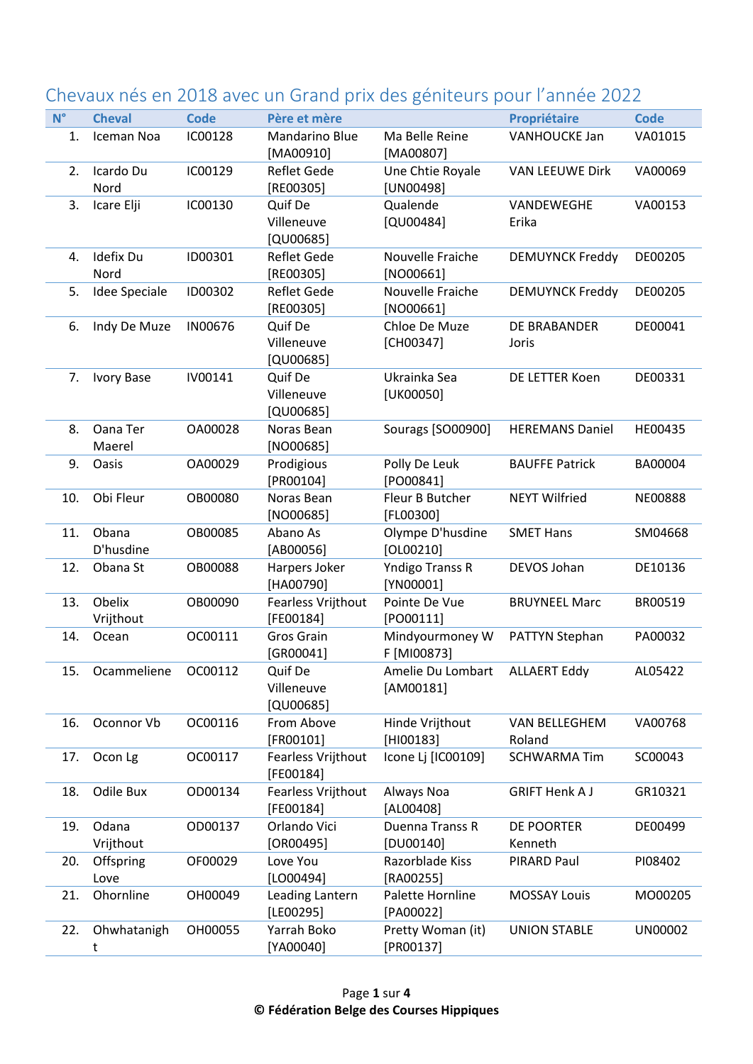|             |                      |                |                                        |                                 | vaak neb en zo zo avec an orana prix aeb gerileearb poar rannee zozz |                |
|-------------|----------------------|----------------|----------------------------------------|---------------------------------|----------------------------------------------------------------------|----------------|
| $N^{\circ}$ | <b>Cheval</b>        | <b>Code</b>    | Père et mère                           |                                 | <b>Propriétaire</b>                                                  | <b>Code</b>    |
| 1.          | Iceman Noa           | IC00128        | Mandarino Blue<br>[MA00910]            | Ma Belle Reine<br>[MA00807]     | <b>VANHOUCKE Jan</b>                                                 | VA01015        |
| 2.          | Icardo Du<br>Nord    | IC00129        | Reflet Gede<br>[RE00305]               | Une Chtie Royale<br>[UN00498]   | <b>VAN LEEUWE Dirk</b>                                               | VA00069        |
| 3.          | Icare Elji           | IC00130        | Quif De<br>Villeneuve<br>[QU00685]     | Qualende<br>$[QU00484]$         | VANDEWEGHE<br>Erika                                                  | VA00153        |
| 4.          | Idefix Du<br>Nord    | ID00301        | Reflet Gede<br>$[RE00305]$             | Nouvelle Fraiche<br>$[NO00661]$ | <b>DEMUYNCK Freddy</b>                                               | DE00205        |
| 5.          | <b>Idee Speciale</b> | ID00302        | Reflet Gede<br>[RE00305]               | Nouvelle Fraiche<br>$[NO00661]$ | <b>DEMUYNCK Freddy</b>                                               | DE00205        |
| 6.          | Indy De Muze         | IN00676        | Quif De<br>Villeneuve<br>[QU00685]     | Chloe De Muze<br>[CH00347]      | DE BRABANDER<br>Joris                                                | DE00041        |
| 7.          | <b>Ivory Base</b>    | IV00141        | Quif De<br>Villeneuve<br>$[QU00685]$   | Ukrainka Sea<br>[UK00050]       | DE LETTER Koen                                                       | DE00331        |
| 8.          | Oana Ter<br>Maerel   | OA00028        | Noras Bean<br>$[NO00685]$              | Sourags [SO00900]               | <b>HEREMANS Daniel</b>                                               | HE00435        |
| 9.          | Oasis                | OA00029        | Prodigious<br>[PR00104]                | Polly De Leuk<br>[PO00841]      | <b>BAUFFE Patrick</b>                                                | BA00004        |
| 10.         | Obi Fleur            | <b>OB00080</b> | Noras Bean<br>$[NO00685]$              | Fleur B Butcher<br>$[FLOO3O0]$  | <b>NEYT Wilfried</b>                                                 | <b>NE00888</b> |
| 11.         | Obana<br>D'husdine   | OB00085        | Abano As<br>[AB00056]                  | Olympe D'husdine<br>$[OLOO210]$ | <b>SMET Hans</b>                                                     | SM04668        |
| 12.         | Obana St             | OB00088        | Harpers Joker<br>[HA00790]             | Yndigo Transs R<br>[YN00001]    | DEVOS Johan                                                          | DE10136        |
| 13.         | Obelix<br>Vrijthout  | OB00090        | Fearless Vrijthout<br>[FE00184]        | Pointe De Vue<br>[PO00111]      | <b>BRUYNEEL Marc</b>                                                 | BR00519        |
| 14.         | Ocean                | OC00111        | Gros Grain<br>[GR00041]                | Mindyourmoney W<br>F [MI00873]  | PATTYN Stephan                                                       | PA00032        |
| 15.         | Ocammeliene          | OC00112        | Quif De<br>Villeneuve<br>$[QU00685]$   | Amelie Du Lombart<br>[AM00181]  | <b>ALLAERT Eddy</b>                                                  | AL05422        |
| 16.         | Oconnor Vb           | OC00116        | From Above<br>[FR00101]                | Hinde Vrijthout<br>$[HIO0183]$  | VAN BELLEGHEM<br>Roland                                              | VA00768        |
| 17.         | Ocon Lg              | OC00117        | <b>Fearless Vrijthout</b><br>[FE00184] | Icone Lj [IC00109]              | <b>SCHWARMA Tim</b>                                                  | SC00043        |
| 18.         | Odile Bux            | OD00134        | Fearless Vrijthout<br>[FE00184]        | Always Noa<br>[AL00408]         | <b>GRIFT Henk AJ</b>                                                 | GR10321        |
| 19.         | Odana<br>Vrijthout   | OD00137        | Orlando Vici<br>[OR00495]              | Duenna Transs R<br>$[DU00140]$  | DE POORTER<br>Kenneth                                                | DE00499        |
| 20.         | Offspring<br>Love    | OF00029        | Love You<br>$[LO00494]$                | Razorblade Kiss<br>[RA00255]    | PIRARD Paul                                                          | PI08402        |
| 21.         | Ohornline            | OH00049        | Leading Lantern<br>[LE00295]           | Palette Hornline<br>[PA00022]   | <b>MOSSAY Louis</b>                                                  | MO00205        |
| 22.         | Ohwhatanigh<br>t     | OH00055        | Yarrah Boko<br>[YA00040]               | Pretty Woman (it)<br>[PR00137]  | <b>UNION STABLE</b>                                                  | UN00002        |

## Chevaux nés en 2018 avec un Grand prix des géniteurs pour l'année 2022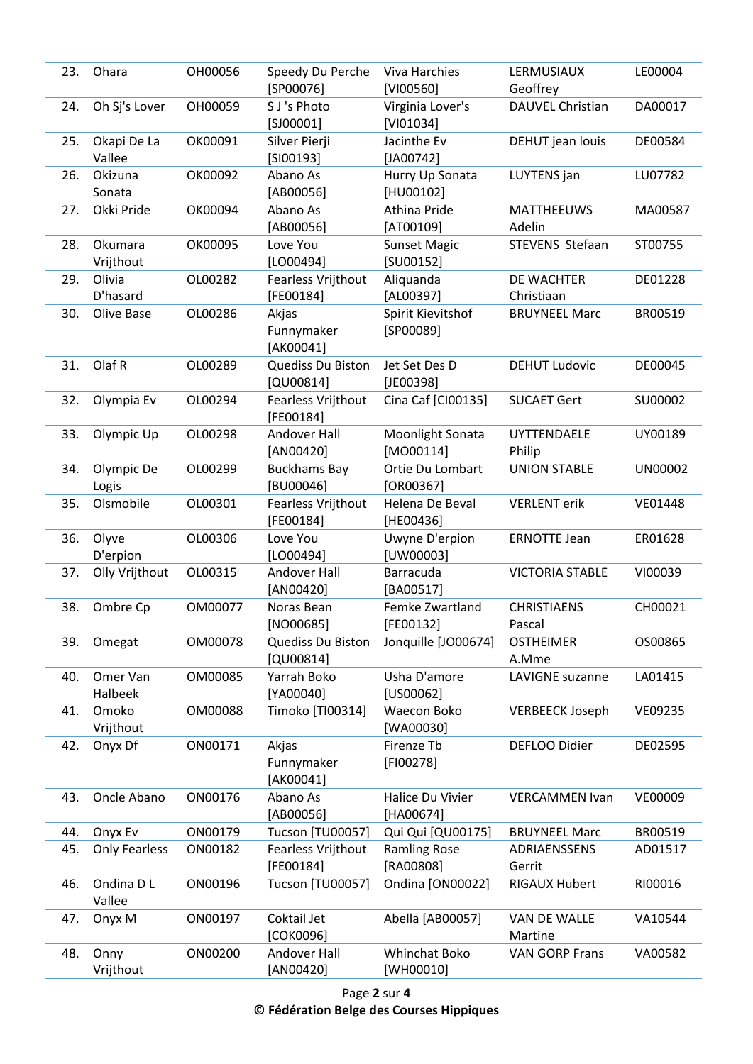| 23. | Ohara                 | OH00056 | Speedy Du Perche<br>$[SP00076]$        | <b>Viva Harchies</b><br>[VI00560] | LERMUSIAUX<br>Geoffrey       | LE00004        |
|-----|-----------------------|---------|----------------------------------------|-----------------------------------|------------------------------|----------------|
| 24. | Oh Sj's Lover         | OH00059 | S J's Photo<br>$[S]00001]$             | Virginia Lover's<br>$[V101034]$   | <b>DAUVEL Christian</b>      | DA00017        |
| 25. | Okapi De La<br>Vallee | OK00091 | Silver Pierji<br>$[S100193]$           | Jacinthe Ev<br>$[JA00742]$        | DEHUT jean louis             | DE00584        |
| 26. | Okizuna<br>Sonata     | OK00092 | Abano As<br>[AB00056]                  | Hurry Up Sonata<br>[HU00102]      | LUYTENS jan                  | LU07782        |
| 27. | Okki Pride            | OK00094 | Abano As<br>[AB00056]                  | Athina Pride<br>$[AT00109]$       | <b>MATTHEEUWS</b><br>Adelin  | MA00587        |
| 28. | Okumara<br>Vrijthout  | OK00095 | Love You<br>$[LO00494]$                | <b>Sunset Magic</b><br>[SU00152]  | STEVENS Stefaan              | ST00755        |
| 29. | Olivia<br>D'hasard    | OL00282 | Fearless Vrijthout<br>[FE00184]        | Aliquanda<br>[AL00397]            | DE WACHTER<br>Christiaan     | DE01228        |
| 30. | Olive Base            | OL00286 | Akjas<br>Funnymaker<br>[AK00041]       | Spirit Kievitshof<br>$[SP00089]$  | <b>BRUYNEEL Marc</b>         | BR00519        |
| 31. | Olaf R                | OL00289 | Quediss Du Biston<br>$[QU00814]$       | Jet Set Des D<br>$[JE00398]$      | <b>DEHUT Ludovic</b>         | DE00045        |
| 32. | Olympia Ev            | OL00294 | Fearless Vrijthout<br>[FE00184]        | Cina Caf [CI00135]                | <b>SUCAET Gert</b>           | SU00002        |
| 33. | Olympic Up            | OL00298 | Andover Hall<br>[AN00420]              | Moonlight Sonata<br>$[MOOO114]$   | <b>UYTTENDAELE</b><br>Philip | UY00189        |
| 34. | Olympic De<br>Logis   | OL00299 | <b>Buckhams Bay</b><br>[BU00046]       | Ortie Du Lombart<br>$[OR00367]$   | <b>UNION STABLE</b>          | <b>UN00002</b> |
| 35. | Olsmobile             | OL00301 | <b>Fearless Vrijthout</b><br>[FE00184] | Helena De Beval<br>[HE00436]      | <b>VERLENT</b> erik          | VE01448        |
| 36. | Olyve<br>D'erpion     | OL00306 | Love You<br>$[LO00494]$                | Uwyne D'erpion<br>[UW00003]       | <b>ERNOTTE Jean</b>          | ER01628        |
| 37. | Olly Vrijthout        | OL00315 | Andover Hall<br>[AN00420]              | Barracuda<br>[BA00517]            | <b>VICTORIA STABLE</b>       | VI00039        |
| 38. | Ombre Cp              | OM00077 | Noras Bean<br>$[NO00685]$              | Femke Zwartland<br>[FE00132]      | <b>CHRISTIAENS</b><br>Pascal | CH00021        |
| 39. | Omegat                | OM00078 | Quediss Du Biston<br>[QU00814]         | Jonquille [JO00674]               | <b>OSTHEIMER</b><br>A.Mme    | OS00865        |
| 40. | Omer Van<br>Halbeek   | OM00085 | Yarrah Boko<br>[YA00040]               | Usha D'amore<br>$[U500062]$       | LAVIGNE suzanne              | LA01415        |
| 41. | Omoko<br>Vrijthout    | OM00088 | Timoko [TI00314]                       | Waecon Boko<br>[WA00030]          | <b>VERBEECK Joseph</b>       | VE09235        |
| 42. | Onyx Df               | ON00171 | Akjas<br>Funnymaker<br>[AK00041]       | Firenze Tb<br>$[FI00278]$         | DEFLOO Didier                | DE02595        |
| 43. | Oncle Abano           | ON00176 | Abano As<br>[AB00056]                  | Halice Du Vivier<br>[HA00674]     | <b>VERCAMMEN Ivan</b>        | VE00009        |
| 44. | Onyx Ev               | ON00179 | Tucson [TU00057]                       | Qui Qui [QU00175]                 | <b>BRUYNEEL Marc</b>         | BR00519        |
| 45. | <b>Only Fearless</b>  | ON00182 | Fearless Vrijthout<br>[FE00184]        | <b>Ramling Rose</b><br>[RA00808]  | ADRIAENSSENS<br>Gerrit       | AD01517        |
| 46. | Ondina D L<br>Vallee  | ON00196 | Tucson [TU00057]                       | Ondina [ON00022]                  | <b>RIGAUX Hubert</b>         | RI00016        |
| 47. | Onyx M                | ON00197 | Coktail Jet<br>[COK0096]               | Abella [AB00057]                  | VAN DE WALLE<br>Martine      | VA10544        |
| 48. | Onny<br>Vrijthout     | ON00200 | Andover Hall<br>[AN00420]              | Whinchat Boko<br>[WH00010]        | <b>VAN GORP Frans</b>        | VA00582        |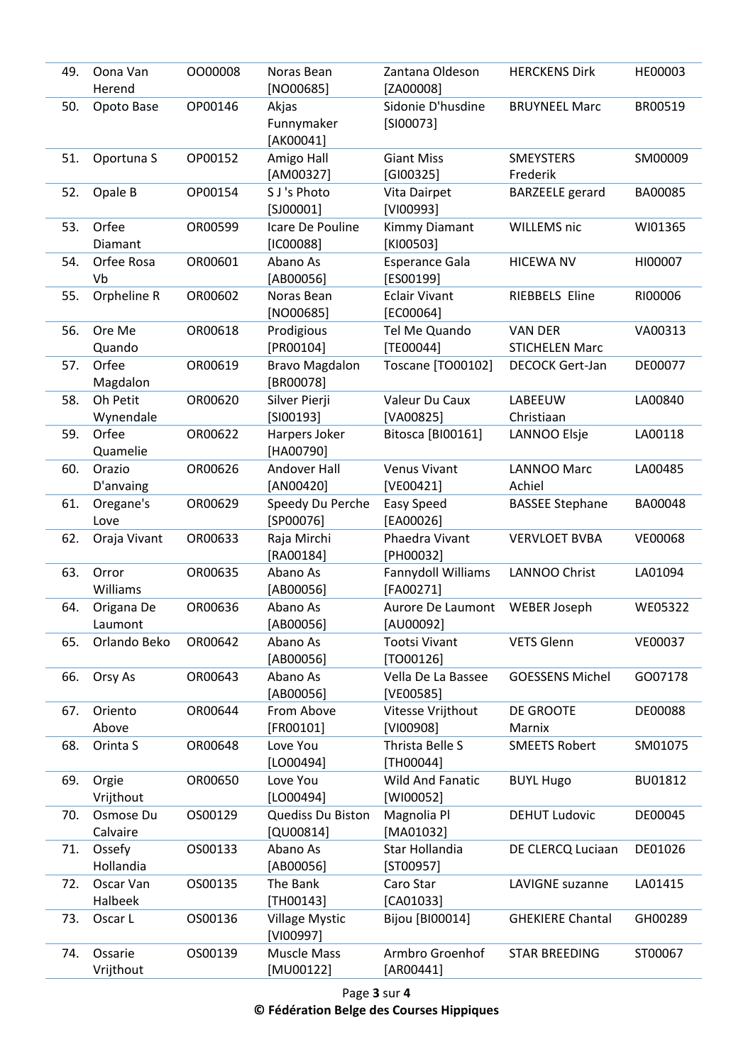| 49. | Oona Van<br>Herend      | 0000008 | Noras Bean<br>$[NO00685]$          | Zantana Oldeson<br>[ZA00008]         | <b>HERCKENS Dirk</b>                    | HE00003 |
|-----|-------------------------|---------|------------------------------------|--------------------------------------|-----------------------------------------|---------|
| 50. | Opoto Base              | OP00146 | Akjas<br>Funnymaker<br>[AK00041]   | Sidonie D'husdine<br>$[S100073]$     | <b>BRUYNEEL Marc</b>                    | BR00519 |
| 51. | Oportuna S              | OP00152 | Amigo Hall<br>[AM00327]            | <b>Giant Miss</b><br>[G100325]       | <b>SMEYSTERS</b><br>Frederik            | SM00009 |
| 52. | Opale B                 | OP00154 | S J's Photo<br>$[S]00001]$         | Vita Dairpet<br>[VI00993]            | <b>BARZEELE</b> gerard                  | BA00085 |
| 53. | Orfee<br><b>Diamant</b> | OR00599 | Icare De Pouline<br>$[IC00088]$    | Kimmy Diamant<br>[KI00503]           | <b>WILLEMS nic</b>                      | WI01365 |
| 54. | Orfee Rosa<br>Vb        | OR00601 | Abano As<br>[AB00056]              | <b>Esperance Gala</b><br>[ES00199]   | <b>HICEWA NV</b>                        | HI00007 |
| 55. | Orpheline R             | OR00602 | Noras Bean<br>$[NO00685]$          | <b>Eclair Vivant</b><br>[EC00064]    | RIEBBELS Eline                          | RI00006 |
| 56. | Ore Me<br>Quando        | OR00618 | Prodigious<br>[PR00104]            | Tel Me Quando<br>[TE00044]           | <b>VAN DER</b><br><b>STICHELEN Marc</b> | VA00313 |
| 57. | Orfee<br>Magdalon       | OR00619 | <b>Bravo Magdalon</b><br>[BR00078] | Toscane [TO00102]                    | <b>DECOCK Gert-Jan</b>                  | DE00077 |
| 58. | Oh Petit<br>Wynendale   | OR00620 | Silver Pierji<br>$[S 00193]$       | Valeur Du Caux<br>[VA00825]          | LABEEUW<br>Christiaan                   | LA00840 |
| 59. | Orfee<br>Quamelie       | OR00622 | Harpers Joker<br>[HA00790]         | Bitosca [BI00161]                    | LANNOO Elsje                            | LA00118 |
| 60. | Orazio<br>D'anvaing     | OR00626 | Andover Hall<br>[AN00420]          | <b>Venus Vivant</b><br>[VE00421]     | <b>LANNOO Marc</b><br>Achiel            | LA00485 |
| 61. | Oregane's<br>Love       | OR00629 | Speedy Du Perche<br>$[SP00076]$    | <b>Easy Speed</b><br>[EA00026]       | <b>BASSEE Stephane</b>                  | BA00048 |
| 62. | Oraja Vivant            | OR00633 | Raja Mirchi<br>[RA00184]           | Phaedra Vivant<br>[PH00032]          | <b>VERVLOET BVBA</b>                    | VE00068 |
| 63. | Orror<br>Williams       | OR00635 | Abano As<br>$[AB00056]$            | Fannydoll Williams<br>[FA00271]      | <b>LANNOO Christ</b>                    | LA01094 |
| 64. | Origana De<br>Laumont   | OR00636 | Abano As<br>[AB00056]              | Aurore De Laumont<br>[AU00092]       | <b>WEBER Joseph</b>                     | WE05322 |
| 65. | Orlando Beko            | OR00642 | Abano As<br>[AB00056]              | <b>Tootsi Vivant</b><br>[T000126]    | <b>VETS Glenn</b>                       | VE00037 |
| 66. | Orsy As                 | OR00643 | Abano As<br>$[AB00056]$            | Vella De La Bassee<br>[VE00585]      | <b>GOESSENS Michel</b>                  | GO07178 |
| 67. | Oriento<br>Above        | OR00644 | From Above<br>[FR00101]            | Vitesse Vrijthout<br>[VI00908]       | DE GROOTE<br>Marnix                     | DE00088 |
| 68. | Orinta S                | OR00648 | Love You<br>$[LO00494]$            | Thrista Belle S<br>[TH00044]         | <b>SMEETS Robert</b>                    | SM01075 |
| 69. | Orgie<br>Vrijthout      | OR00650 | Love You<br>$[LO00494]$            | <b>Wild And Fanatic</b><br>[WI00052] | <b>BUYL Hugo</b>                        | BU01812 |
| 70. | Osmose Du<br>Calvaire   | OS00129 | Quediss Du Biston<br>$[QU00814]$   | Magnolia Pl<br>[MA01032]             | <b>DEHUT Ludovic</b>                    | DE00045 |
| 71. | Ossefy<br>Hollandia     | OS00133 | Abano As<br>[AB00056]              | Star Hollandia<br>[ST00957]          | DE CLERCQ Luciaan                       | DE01026 |
| 72. | Oscar Van<br>Halbeek    | OS00135 | The Bank<br>$[TH00143]$            | Caro Star<br>$[CA01033]$             | LAVIGNE suzanne                         | LA01415 |
| 73. | Oscar L                 | OS00136 | <b>Village Mystic</b><br>[VI00997] | Bijou [BI00014]                      | <b>GHEKIERE Chantal</b>                 | GH00289 |
| 74. | Ossarie<br>Vrijthout    | OS00139 | Muscle Mass<br>[MU00122]           | Armbro Groenhof<br>[AR00441]         | <b>STAR BREEDING</b>                    | ST00067 |